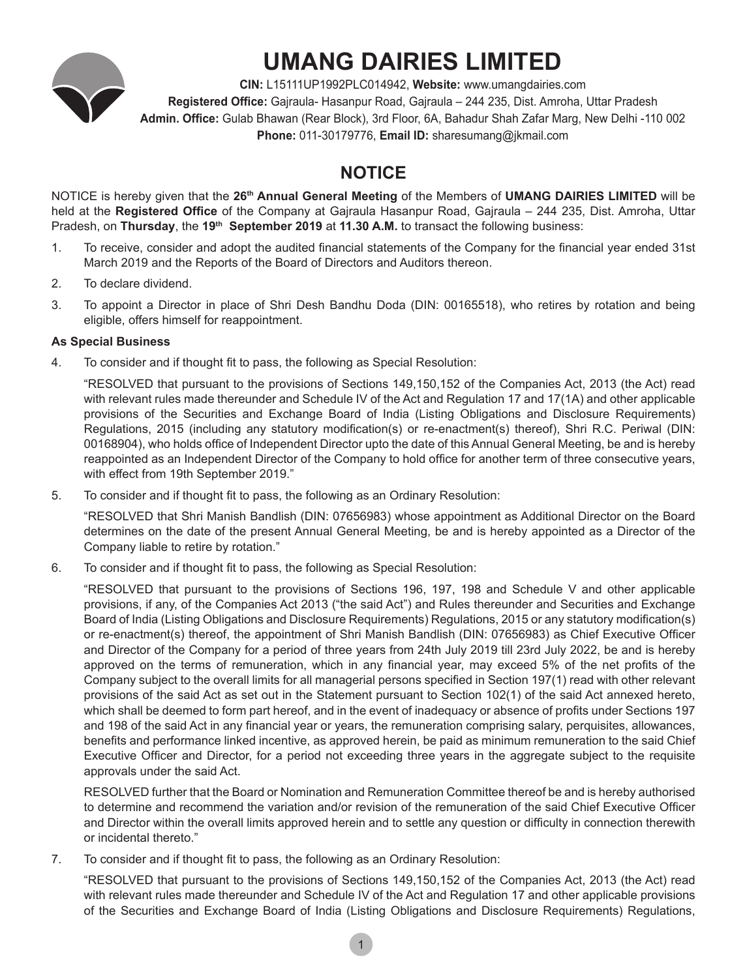

# **UMANG DAIRIES LIMITED**

**CIN:** L15111UP1992PLC014942, **Website:** www.umangdairies.com **Registered Office:** Gajraula- Hasanpur Road, Gajraula – 244 235, Dist. Amroha, Uttar Pradesh **Admin. Office:** Gulab Bhawan (Rear Block), 3rd Floor, 6A, Bahadur Shah Zafar Marg, New Delhi -110 002 **Phone:** 011-30179776, **Email ID:** sharesumang@jkmail.com

# **NOTICE**

NOTICE is hereby given that the **26th Annual General Meeting** of the Members of **UMANG DAIRIES LIMITED** will be held at the **Registered Office** of the Company at Gajraula Hasanpur Road, Gajraula – 244 235, Dist. Amroha, Uttar Pradesh, on **Thursday**, the **19th September 2019** at **11.30 A.M.** to transact the following business:

- 1. To receive, consider and adopt the audited financial statements of the Company for the financial year ended 31st March 2019 and the Reports of the Board of Directors and Auditors thereon.
- 2. To declare dividend.
- 3. To appoint a Director in place of Shri Desh Bandhu Doda (DIN: 00165518), who retires by rotation and being eligible, offers himself for reappointment.

### **As Special Business**

4. To consider and if thought fit to pass, the following as Special Resolution:

"RESOLVED that pursuant to the provisions of Sections 149,150,152 of the Companies Act, 2013 (the Act) read with relevant rules made thereunder and Schedule IV of the Act and Regulation 17 and 17(1A) and other applicable provisions of the Securities and Exchange Board of India (Listing Obligations and Disclosure Requirements) Regulations, 2015 (including any statutory modification(s) or re-enactment(s) thereof), Shri R.C. Periwal (DIN: 00168904), who holds office of Independent Director upto the date of this Annual General Meeting, be and is hereby reappointed as an Independent Director of the Company to hold office for another term of three consecutive years, with effect from 19th September 2019."

5. To consider and if thought fit to pass, the following as an Ordinary Resolution:

"RESOLVED that Shri Manish Bandlish (DIN: 07656983) whose appointment as Additional Director on the Board determines on the date of the present Annual General Meeting, be and is hereby appointed as a Director of the Company liable to retire by rotation."

6. To consider and if thought fit to pass, the following as Special Resolution:

"RESOLVED that pursuant to the provisions of Sections 196, 197, 198 and Schedule V and other applicable provisions, if any, of the Companies Act 2013 ("the said Act") and Rules thereunder and Securities and Exchange Board of India (Listing Obligations and Disclosure Requirements) Regulations, 2015 or any statutory modification(s) or re-enactment(s) thereof, the appointment of Shri Manish Bandlish (DIN: 07656983) as Chief Executive Officer and Director of the Company for a period of three years from 24th July 2019 till 23rd July 2022, be and is hereby approved on the terms of remuneration, which in any financial year, may exceed 5% of the net profits of the Company subject to the overall limits for all managerial persons specified in Section 197(1) read with other relevant provisions of the said Act as set out in the Statement pursuant to Section 102(1) of the said Act annexed hereto, which shall be deemed to form part hereof, and in the event of inadequacy or absence of profits under Sections 197 and 198 of the said Act in any financial year or years, the remuneration comprising salary, perquisites, allowances, benefits and performance linked incentive, as approved herein, be paid as minimum remuneration to the said Chief Executive Officer and Director, for a period not exceeding three years in the aggregate subject to the requisite approvals under the said Act.

RESOLVED further that the Board or Nomination and Remuneration Committee thereof be and is hereby authorised to determine and recommend the variation and/or revision of the remuneration of the said Chief Executive Officer and Director within the overall limits approved herein and to settle any question or difficulty in connection therewith or incidental thereto."

7. To consider and if thought fit to pass, the following as an Ordinary Resolution:

"RESOLVED that pursuant to the provisions of Sections 149,150,152 of the Companies Act, 2013 (the Act) read with relevant rules made thereunder and Schedule IV of the Act and Regulation 17 and other applicable provisions of the Securities and Exchange Board of India (Listing Obligations and Disclosure Requirements) Regulations,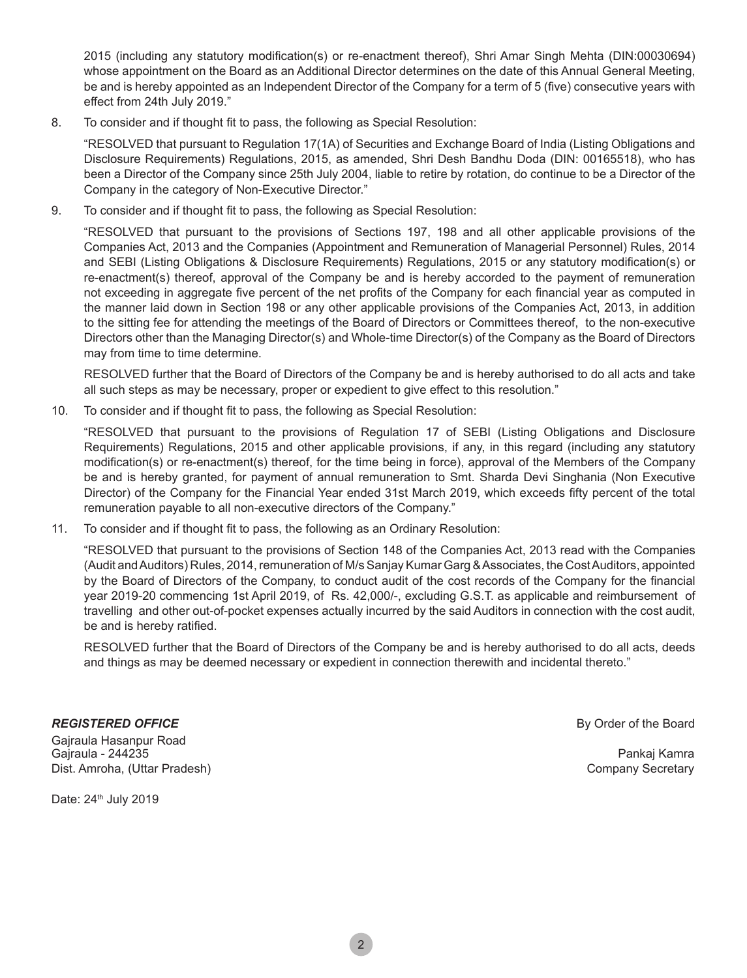2015 (including any statutory modification(s) or re-enactment thereof), Shri Amar Singh Mehta (DIN:00030694) whose appointment on the Board as an Additional Director determines on the date of this Annual General Meeting, be and is hereby appointed as an Independent Director of the Company for a term of 5 (five) consecutive years with effect from 24th July 2019."

8. To consider and if thought fit to pass, the following as Special Resolution:

"RESOLVED that pursuant to Regulation 17(1A) of Securities and Exchange Board of India (Listing Obligations and Disclosure Requirements) Regulations, 2015, as amended, Shri Desh Bandhu Doda (DIN: 00165518), who has been a Director of the Company since 25th July 2004, liable to retire by rotation, do continue to be a Director of the Company in the category of Non-Executive Director."

9. To consider and if thought fit to pass, the following as Special Resolution:

"RESOLVED that pursuant to the provisions of Sections 197, 198 and all other applicable provisions of the Companies Act, 2013 and the Companies (Appointment and Remuneration of Managerial Personnel) Rules, 2014 and SEBI (Listing Obligations & Disclosure Requirements) Regulations, 2015 or any statutory modification(s) or re-enactment(s) thereof, approval of the Company be and is hereby accorded to the payment of remuneration not exceeding in aggregate five percent of the net profits of the Company for each financial year as computed in the manner laid down in Section 198 or any other applicable provisions of the Companies Act, 2013, in addition to the sitting fee for attending the meetings of the Board of Directors or Committees thereof, to the non-executive Directors other than the Managing Director(s) and Whole-time Director(s) of the Company as the Board of Directors may from time to time determine.

 RESOLVED further that the Board of Directors of the Company be and is hereby authorised to do all acts and take all such steps as may be necessary, proper or expedient to give effect to this resolution."

10. To consider and if thought fit to pass, the following as Special Resolution:

"RESOLVED that pursuant to the provisions of Regulation 17 of SEBI (Listing Obligations and Disclosure Requirements) Regulations, 2015 and other applicable provisions, if any, in this regard (including any statutory modification(s) or re-enactment(s) thereof, for the time being in force), approval of the Members of the Company be and is hereby granted, for payment of annual remuneration to Smt. Sharda Devi Singhania (Non Executive Director) of the Company for the Financial Year ended 31st March 2019, which exceeds fifty percent of the total remuneration payable to all non-executive directors of the Company."

11. To consider and if thought fit to pass, the following as an Ordinary Resolution:

"RESOLVED that pursuant to the provisions of Section 148 of the Companies Act, 2013 read with the Companies (Audit and Auditors) Rules, 2014, remuneration of M/s Sanjay Kumar Garg & Associates, the Cost Auditors, appointed by the Board of Directors of the Company, to conduct audit of the cost records of the Company for the financial year 2019-20 commencing 1st April 2019, of Rs. 42,000/-, excluding G.S.T. as applicable and reimbursement of travelling and other out-of-pocket expenses actually incurred by the said Auditors in connection with the cost audit, be and is hereby ratified.

RESOLVED further that the Board of Directors of the Company be and is hereby authorised to do all acts, deeds and things as may be deemed necessary or expedient in connection therewith and incidental thereto."

Gajraula Hasanpur Road Gajraula - 244235 Pankaj Kamra Dist. Amroha, (Uttar Pradesh) Company Secretary

**REGISTERED OFFICE By Order of the Board** 

Date: 24<sup>th</sup> July 2019

2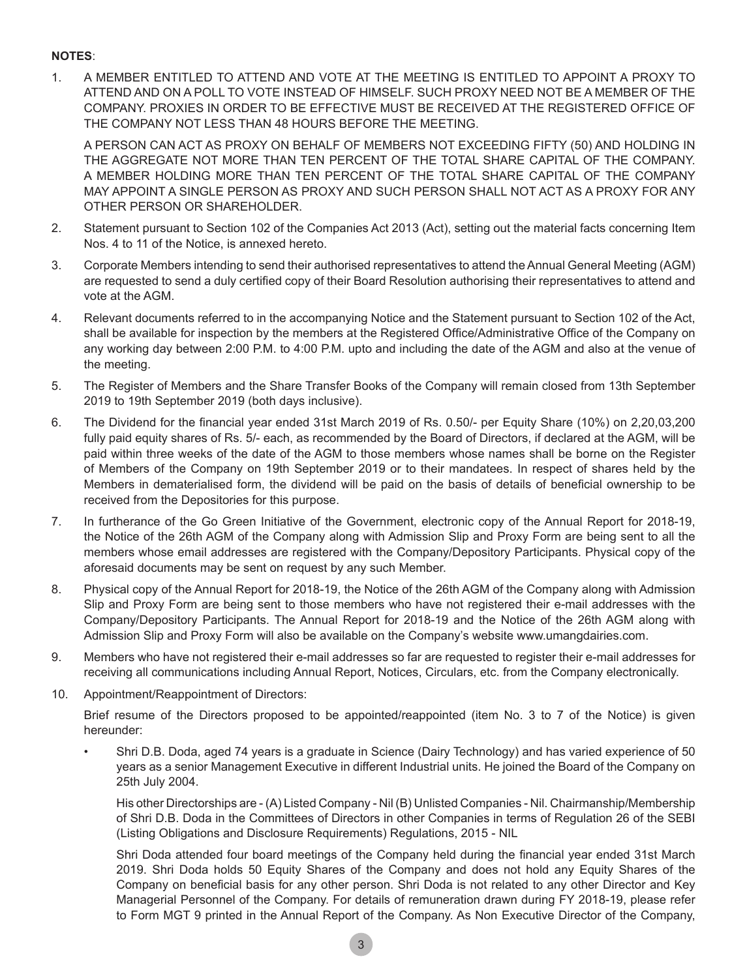#### **NOTES**:

1. A MEMBER ENTITLED TO ATTEND AND VOTE AT THE MEETING IS ENTITLED TO APPOINT A PROXY TO ATTEND AND ON A POLL TO VOTE INSTEAD OF HIMSELF. SUCH PROXY NEED NOT BE A MEMBER OF THE COMPANY. PROXIES IN ORDER TO BE EFFECTIVE MUST BE RECEIVED AT THE REGISTERED OFFICE OF THE COMPANY NOT LESS THAN 48 HOURS BEFORE THE MEETING.

 A PERSON CAN ACT AS PROXY ON BEHALF OF MEMBERS NOT EXCEEDING FIFTY (50) AND HOLDING IN THE AGGREGATE NOT MORE THAN TEN PERCENT OF THE TOTAL SHARE CAPITAL OF THE COMPANY. A MEMBER HOLDING MORE THAN TEN PERCENT OF THE TOTAL SHARE CAPITAL OF THE COMPANY MAY APPOINT A SINGLE PERSON AS PROXY AND SUCH PERSON SHALL NOT ACT AS A PROXY FOR ANY OTHER PERSON OR SHAREHOLDER.

- 2. Statement pursuant to Section 102 of the Companies Act 2013 (Act), setting out the material facts concerning Item Nos. 4 to 11 of the Notice, is annexed hereto.
- 3. Corporate Members intending to send their authorised representatives to attend the Annual General Meeting (AGM) are requested to send a duly certified copy of their Board Resolution authorising their representatives to attend and vote at the AGM.
- 4. Relevant documents referred to in the accompanying Notice and the Statement pursuant to Section 102 of the Act, shall be available for inspection by the members at the Registered Office/Administrative Office of the Company on any working day between 2:00 P.M. to 4:00 P.M. upto and including the date of the AGM and also at the venue of the meeting.
- 5. The Register of Members and the Share Transfer Books of the Company will remain closed from 13th September 2019 to 19th September 2019 (both days inclusive).
- 6. The Dividend for the financial year ended 31st March 2019 of Rs. 0.50/- per Equity Share (10%) on 2,20,03,200 fully paid equity shares of Rs. 5/- each, as recommended by the Board of Directors, if declared at the AGM, will be paid within three weeks of the date of the AGM to those members whose names shall be borne on the Register of Members of the Company on 19th September 2019 or to their mandatees. In respect of shares held by the Members in dematerialised form, the dividend will be paid on the basis of details of beneficial ownership to be received from the Depositories for this purpose.
- 7. In furtherance of the Go Green Initiative of the Government, electronic copy of the Annual Report for 2018-19, the Notice of the 26th AGM of the Company along with Admission Slip and Proxy Form are being sent to all the members whose email addresses are registered with the Company/Depository Participants. Physical copy of the aforesaid documents may be sent on request by any such Member.
- 8. Physical copy of the Annual Report for 2018-19, the Notice of the 26th AGM of the Company along with Admission Slip and Proxy Form are being sent to those members who have not registered their e-mail addresses with the Company/Depository Participants. The Annual Report for 2018-19 and the Notice of the 26th AGM along with Admission Slip and Proxy Form will also be available on the Company's website www.umangdairies.com.
- 9. Members who have not registered their e-mail addresses so far are requested to register their e-mail addresses for receiving all communications including Annual Report, Notices, Circulars, etc. from the Company electronically.
- 10. Appointment/Reappointment of Directors:

Brief resume of the Directors proposed to be appointed/reappointed (item No. 3 to 7 of the Notice) is given hereunder:

Shri D.B. Doda, aged 74 years is a graduate in Science (Dairy Technology) and has varied experience of 50 years as a senior Management Executive in different Industrial units. He joined the Board of the Company on 25th July 2004.

 His other Directorships are - (A) Listed Company - Nil (B) Unlisted Companies - Nil. Chairmanship/Membership of Shri D.B. Doda in the Committees of Directors in other Companies in terms of Regulation 26 of the SEBI (Listing Obligations and Disclosure Requirements) Regulations, 2015 - NIL

 Shri Doda attended four board meetings of the Company held during the financial year ended 31st March 2019. Shri Doda holds 50 Equity Shares of the Company and does not hold any Equity Shares of the Company on beneficial basis for any other person. Shri Doda is not related to any other Director and Key Managerial Personnel of the Company. For details of remuneration drawn during FY 2018-19, please refer to Form MGT 9 printed in the Annual Report of the Company. As Non Executive Director of the Company,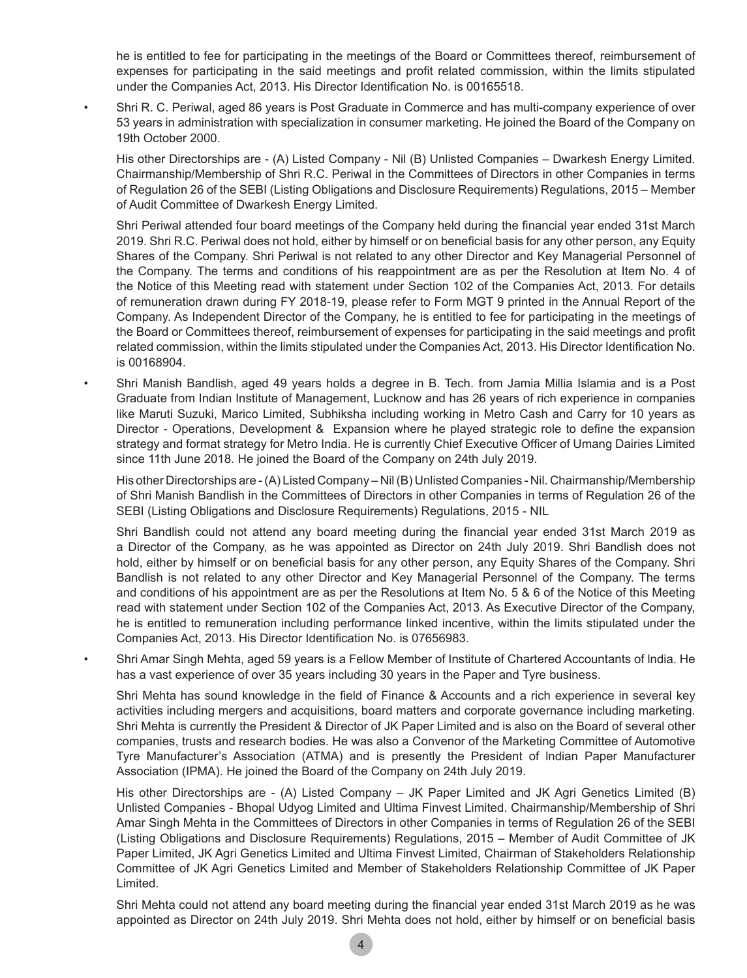he is entitled to fee for participating in the meetings of the Board or Committees thereof, reimbursement of expenses for participating in the said meetings and profit related commission, within the limits stipulated under the Companies Act, 2013. His Director Identification No. is 00165518.

Shri R. C. Periwal, aged 86 years is Post Graduate in Commerce and has multi-company experience of over 53 years in administration with specialization in consumer marketing. He joined the Board of the Company on 19th October 2000.

 His other Directorships are - (A) Listed Company - Nil (B) Unlisted Companies – Dwarkesh Energy Limited. Chairmanship/Membership of Shri R.C. Periwal in the Committees of Directors in other Companies in terms of Regulation 26 of the SEBI (Listing Obligations and Disclosure Requirements) Regulations, 2015 – Member of Audit Committee of Dwarkesh Energy Limited.

 Shri Periwal attended four board meetings of the Company held during the financial year ended 31st March 2019. Shri R.C. Periwal does not hold, either by himself or on beneficial basis for any other person, any Equity Shares of the Company. Shri Periwal is not related to any other Director and Key Managerial Personnel of the Company. The terms and conditions of his reappointment are as per the Resolution at Item No. 4 of the Notice of this Meeting read with statement under Section 102 of the Companies Act, 2013. For details of remuneration drawn during FY 2018-19, please refer to Form MGT 9 printed in the Annual Report of the Company. As Independent Director of the Company, he is entitled to fee for participating in the meetings of the Board or Committees thereof, reimbursement of expenses for participating in the said meetings and profit related commission, within the limits stipulated under the Companies Act, 2013. His Director Identification No. is 00168904.

Shri Manish Bandlish, aged 49 years holds a degree in B. Tech. from Jamia Millia Islamia and is a Post Graduate from Indian Institute of Management, Lucknow and has 26 years of rich experience in companies like Maruti Suzuki, Marico Limited, Subhiksha including working in Metro Cash and Carry for 10 years as Director - Operations, Development & Expansion where he played strategic role to define the expansion strategy and format strategy for Metro India. He is currently Chief Executive Officer of Umang Dairies Limited since 11th June 2018. He joined the Board of the Company on 24th July 2019.

 His other Directorships are - (A) Listed Company – Nil (B) Unlisted Companies - Nil. Chairmanship/Membership of Shri Manish Bandlish in the Committees of Directors in other Companies in terms of Regulation 26 of the SEBI (Listing Obligations and Disclosure Requirements) Regulations, 2015 - NIL

 Shri Bandlish could not attend any board meeting during the financial year ended 31st March 2019 as a Director of the Company, as he was appointed as Director on 24th July 2019. Shri Bandlish does not hold, either by himself or on beneficial basis for any other person, any Equity Shares of the Company. Shri Bandlish is not related to any other Director and Key Managerial Personnel of the Company. The terms and conditions of his appointment are as per the Resolutions at Item No. 5 & 6 of the Notice of this Meeting read with statement under Section 102 of the Companies Act, 2013. As Executive Director of the Company, he is entitled to remuneration including performance linked incentive, within the limits stipulated under the Companies Act, 2013. His Director Identification No. is 07656983.

Shri Amar Singh Mehta, aged 59 years is a Fellow Member of Institute of Chartered Accountants of India. He has a vast experience of over 35 years including 30 years in the Paper and Tyre business.

 Shri Mehta has sound knowledge in the field of Finance & Accounts and a rich experience in several key activities including mergers and acquisitions, board matters and corporate governance including marketing. Shri Mehta is currently the President & Director of JK Paper Limited and is also on the Board of several other companies, trusts and research bodies. He was also a Convenor of the Marketing Committee of Automotive Tyre Manufacturer's Association (ATMA) and is presently the President of lndian Paper Manufacturer Association (IPMA). He joined the Board of the Company on 24th July 2019.

 His other Directorships are - (A) Listed Company – JK Paper Limited and JK Agri Genetics Limited (B) Unlisted Companies - Bhopal Udyog Limited and Ultima Finvest Limited. Chairmanship/Membership of Shri Amar Singh Mehta in the Committees of Directors in other Companies in terms of Regulation 26 of the SEBI (Listing Obligations and Disclosure Requirements) Regulations, 2015 – Member of Audit Committee of JK Paper Limited, JK Agri Genetics Limited and Ultima Finvest Limited, Chairman of Stakeholders Relationship Committee of JK Agri Genetics Limited and Member of Stakeholders Relationship Committee of JK Paper Limited.

 Shri Mehta could not attend any board meeting during the financial year ended 31st March 2019 as he was appointed as Director on 24th July 2019. Shri Mehta does not hold, either by himself or on beneficial basis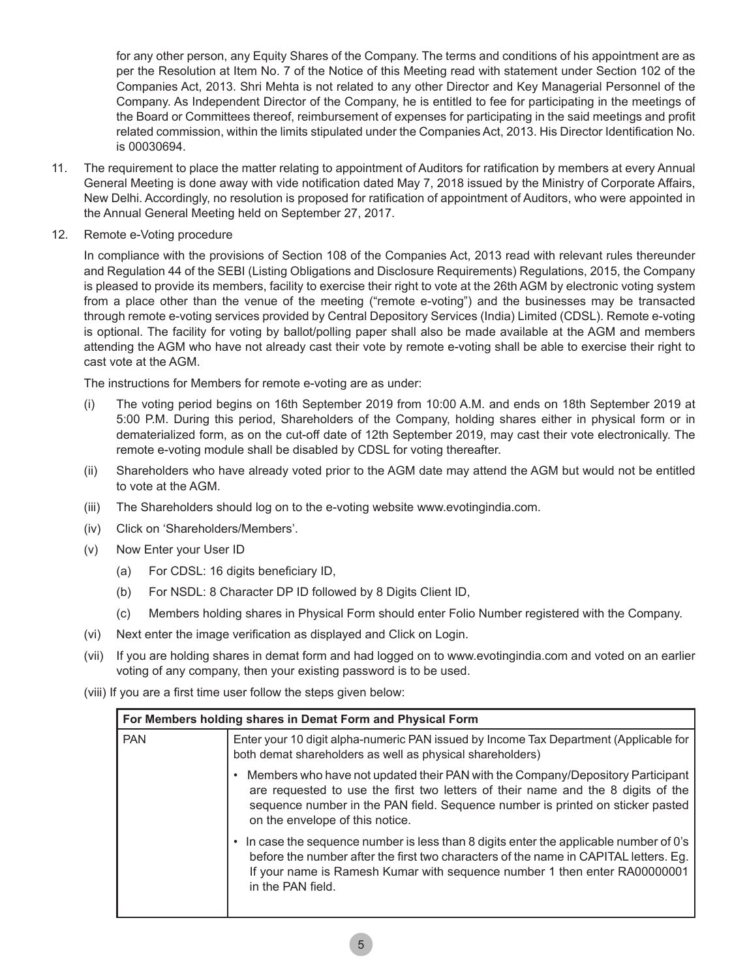for any other person, any Equity Shares of the Company. The terms and conditions of his appointment are as per the Resolution at Item No. 7 of the Notice of this Meeting read with statement under Section 102 of the Companies Act, 2013. Shri Mehta is not related to any other Director and Key Managerial Personnel of the Company. As Independent Director of the Company, he is entitled to fee for participating in the meetings of the Board or Committees thereof, reimbursement of expenses for participating in the said meetings and profit related commission, within the limits stipulated under the Companies Act, 2013. His Director Identification No. is 00030694.

- 11. The requirement to place the matter relating to appointment of Auditors for ratification by members at every Annual General Meeting is done away with vide notification dated May 7, 2018 issued by the Ministry of Corporate Affairs, New Delhi. Accordingly, no resolution is proposed for ratification of appointment of Auditors, who were appointed in the Annual General Meeting held on September 27, 2017.
- 12. Remote e-Voting procedure

In compliance with the provisions of Section 108 of the Companies Act, 2013 read with relevant rules thereunder and Regulation 44 of the SEBI (Listing Obligations and Disclosure Requirements) Regulations, 2015, the Company is pleased to provide its members, facility to exercise their right to vote at the 26th AGM by electronic voting system from a place other than the venue of the meeting ("remote e-voting") and the businesses may be transacted through remote e-voting services provided by Central Depository Services (India) Limited (CDSL). Remote e-voting is optional. The facility for voting by ballot/polling paper shall also be made available at the AGM and members attending the AGM who have not already cast their vote by remote e-voting shall be able to exercise their right to cast vote at the AGM.

The instructions for Members for remote e-voting are as under:

- (i) The voting period begins on 16th September 2019 from 10:00 A.M. and ends on 18th September 2019 at 5:00 P.M. During this period, Shareholders of the Company, holding shares either in physical form or in dematerialized form, as on the cut-off date of 12th September 2019, may cast their vote electronically. The remote e-voting module shall be disabled by CDSL for voting thereafter.
- (ii) Shareholders who have already voted prior to the AGM date may attend the AGM but would not be entitled to vote at the AGM.
- (iii) The Shareholders should log on to the e-voting website www.evotingindia.com.
- (iv) Click on 'Shareholders/Members'.
- (v) Now Enter your User ID
	- (a) For CDSL: 16 digits beneficiary ID,
	- (b) For NSDL: 8 Character DP ID followed by 8 Digits Client ID,
	- (c) Members holding shares in Physical Form should enter Folio Number registered with the Company.
- (vi) Next enter the image verification as displayed and Click on Login.
- (vii) If you are holding shares in demat form and had logged on to www.evotingindia.com and voted on an earlier voting of any company, then your existing password is to be used.
- (viii) If you are a first time user follow the steps given below:

| For Members holding shares in Demat Form and Physical Form |                                                                                                                                                                                                                                                                                         |  |
|------------------------------------------------------------|-----------------------------------------------------------------------------------------------------------------------------------------------------------------------------------------------------------------------------------------------------------------------------------------|--|
| <b>PAN</b>                                                 | Enter your 10 digit alpha-numeric PAN issued by Income Tax Department (Applicable for<br>both demat shareholders as well as physical shareholders)                                                                                                                                      |  |
|                                                            | Members who have not updated their PAN with the Company/Depository Participant<br>are requested to use the first two letters of their name and the 8 digits of the<br>sequence number in the PAN field. Sequence number is printed on sticker pasted<br>on the envelope of this notice. |  |
|                                                            | In case the sequence number is less than 8 digits enter the applicable number of 0's<br>before the number after the first two characters of the name in CAPITAL letters. Eg.<br>If your name is Ramesh Kumar with sequence number 1 then enter RA00000001<br>in the PAN field.          |  |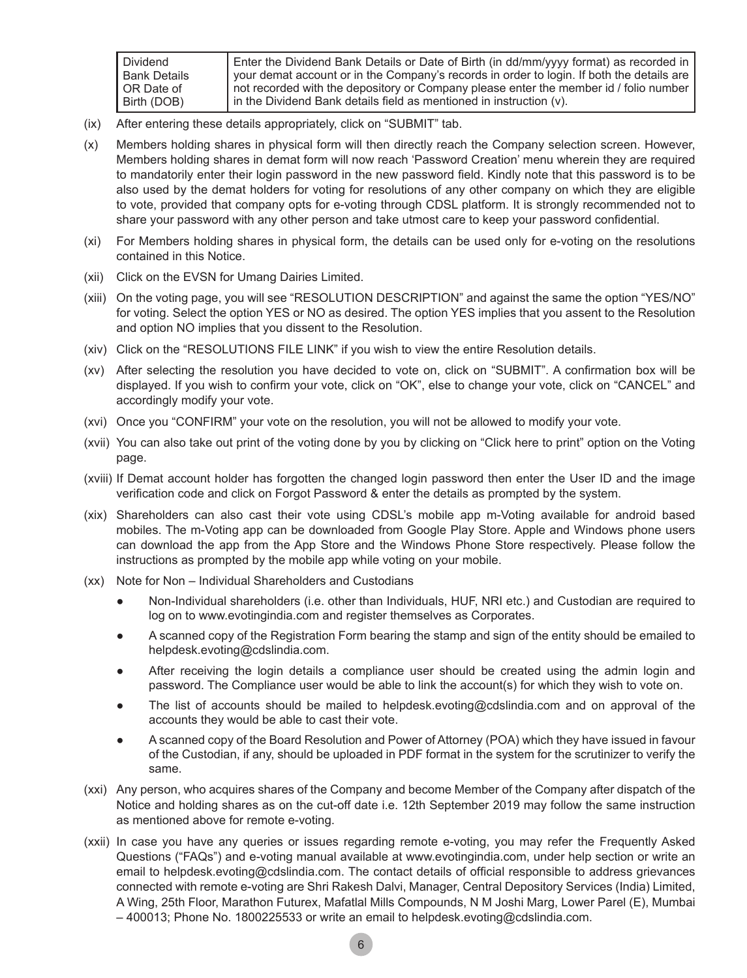| Dividend            | Enter the Dividend Bank Details or Date of Birth (in dd/mm/yyyy format) as recorded in    |
|---------------------|-------------------------------------------------------------------------------------------|
| <b>Bank Details</b> | your demat account or in the Company's records in order to login. If both the details are |
| OR Date of          | not recorded with the depository or Company please enter the member id / folio number     |
| Birth (DOB)         | I in the Dividend Bank details field as mentioned in instruction (v).                     |

- (ix) After entering these details appropriately, click on "SUBMIT" tab.
- (x) Members holding shares in physical form will then directly reach the Company selection screen. However, Members holding shares in demat form will now reach 'Password Creation' menu wherein they are required to mandatorily enter their login password in the new password field. Kindly note that this password is to be also used by the demat holders for voting for resolutions of any other company on which they are eligible to vote, provided that company opts for e-voting through CDSL platform. It is strongly recommended not to share your password with any other person and take utmost care to keep your password confidential.
- (xi) For Members holding shares in physical form, the details can be used only for e-voting on the resolutions contained in this Notice.
- (xii) Click on the EVSN for Umang Dairies Limited.
- (xiii) On the voting page, you will see "RESOLUTION DESCRIPTION" and against the same the option "YES/NO" for voting. Select the option YES or NO as desired. The option YES implies that you assent to the Resolution and option NO implies that you dissent to the Resolution.
- (xiv) Click on the "RESOLUTIONS FILE LINK" if you wish to view the entire Resolution details.
- (xv) After selecting the resolution you have decided to vote on, click on "SUBMIT". A confirmation box will be displayed. If you wish to confirm your vote, click on "OK", else to change your vote, click on "CANCEL" and accordingly modify your vote.
- (xvi) Once you "CONFIRM" your vote on the resolution, you will not be allowed to modify your vote.
- (xvii) You can also take out print of the voting done by you by clicking on "Click here to print" option on the Voting page.
- (xviii) If Demat account holder has forgotten the changed login password then enter the User ID and the image verification code and click on Forgot Password & enter the details as prompted by the system.
- (xix) Shareholders can also cast their vote using CDSL's mobile app m-Voting available for android based mobiles. The m-Voting app can be downloaded from Google Play Store. Apple and Windows phone users can download the app from the App Store and the Windows Phone Store respectively. Please follow the instructions as prompted by the mobile app while voting on your mobile.
- (xx) Note for Non Individual Shareholders and Custodians
	- ● Non-Individual shareholders (i.e. other than Individuals, HUF, NRI etc.) and Custodian are required to log on to www.evotingindia.com and register themselves as Corporates.
	- A scanned copy of the Registration Form bearing the stamp and sign of the entity should be emailed to helpdesk.evoting@cdslindia.com.
	- After receiving the login details a compliance user should be created using the admin login and password. The Compliance user would be able to link the account(s) for which they wish to vote on.
	- The list of accounts should be mailed to helpdesk.evoting@cdslindia.com and on approval of the accounts they would be able to cast their vote.
	- A scanned copy of the Board Resolution and Power of Attorney (POA) which they have issued in favour of the Custodian, if any, should be uploaded in PDF format in the system for the scrutinizer to verify the same.
- (xxi) Any person, who acquires shares of the Company and become Member of the Company after dispatch of the Notice and holding shares as on the cut-off date i.e. 12th September 2019 may follow the same instruction as mentioned above for remote e-voting.
- (xxii) In case you have any queries or issues regarding remote e-voting, you may refer the Frequently Asked Questions ("FAQs") and e-voting manual available at www.evotingindia.com, under help section or write an email to helpdesk.evoting@cdslindia.com. The contact details of official responsible to address grievances connected with remote e-voting are Shri Rakesh Dalvi, Manager, Central Depository Services (India) Limited, A Wing, 25th Floor, Marathon Futurex, Mafatlal Mills Compounds, N M Joshi Marg, Lower Parel (E), Mumbai – 400013; Phone No. 1800225533 or write an email to helpdesk.evoting@cdslindia.com.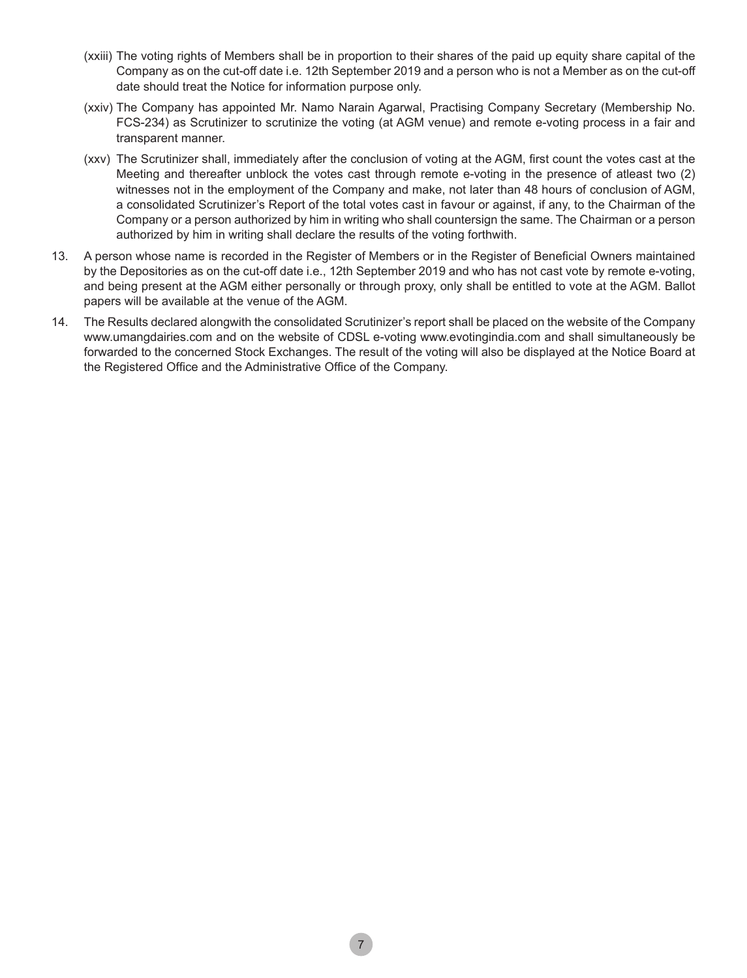- (xxiii) The voting rights of Members shall be in proportion to their shares of the paid up equity share capital of the Company as on the cut-off date i.e. 12th September 2019 and a person who is not a Member as on the cut-off date should treat the Notice for information purpose only.
- (xxiv) The Company has appointed Mr. Namo Narain Agarwal, Practising Company Secretary (Membership No. FCS-234) as Scrutinizer to scrutinize the voting (at AGM venue) and remote e-voting process in a fair and transparent manner.
- (xxv) The Scrutinizer shall, immediately after the conclusion of voting at the AGM, first count the votes cast at the Meeting and thereafter unblock the votes cast through remote e-voting in the presence of atleast two (2) witnesses not in the employment of the Company and make, not later than 48 hours of conclusion of AGM, a consolidated Scrutinizer's Report of the total votes cast in favour or against, if any, to the Chairman of the Company or a person authorized by him in writing who shall countersign the same. The Chairman or a person authorized by him in writing shall declare the results of the voting forthwith.
- 13. A person whose name is recorded in the Register of Members or in the Register of Beneficial Owners maintained by the Depositories as on the cut-off date i.e., 12th September 2019 and who has not cast vote by remote e-voting, and being present at the AGM either personally or through proxy, only shall be entitled to vote at the AGM. Ballot papers will be available at the venue of the AGM.
- 14. The Results declared alongwith the consolidated Scrutinizer's report shall be placed on the website of the Company www.umangdairies.com and on the website of CDSL e-voting www.evotingindia.com and shall simultaneously be forwarded to the concerned Stock Exchanges. The result of the voting will also be displayed at the Notice Board at the Registered Office and the Administrative Office of the Company.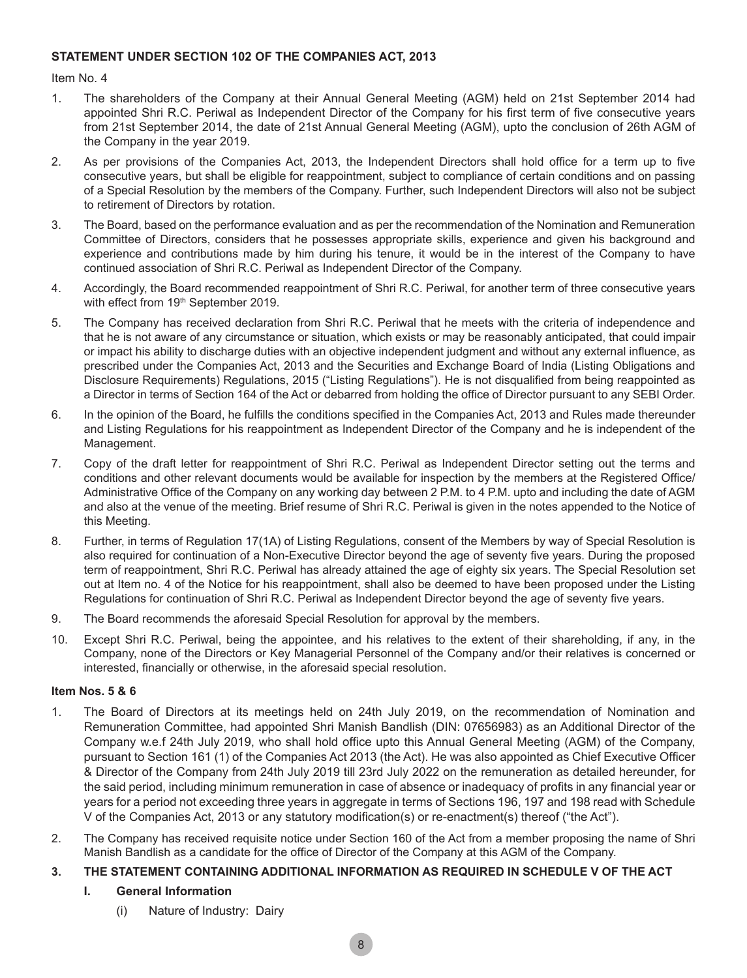#### **STATEMENT UNDER SECTION 102 OF THE COMPANIES ACT, 2013**

Item No. 4

- 1. The shareholders of the Company at their Annual General Meeting (AGM) held on 21st September 2014 had appointed Shri R.C. Periwal as Independent Director of the Company for his first term of five consecutive years from 21st September 2014, the date of 21st Annual General Meeting (AGM), upto the conclusion of 26th AGM of the Company in the year 2019.
- 2. As per provisions of the Companies Act, 2013, the Independent Directors shall hold office for a term up to five consecutive years, but shall be eligible for reappointment, subject to compliance of certain conditions and on passing of a Special Resolution by the members of the Company. Further, such Independent Directors will also not be subject to retirement of Directors by rotation.
- 3. The Board, based on the performance evaluation and as per the recommendation of the Nomination and Remuneration Committee of Directors, considers that he possesses appropriate skills, experience and given his background and experience and contributions made by him during his tenure, it would be in the interest of the Company to have continued association of Shri R.C. Periwal as Independent Director of the Company.
- 4. Accordingly, the Board recommended reappointment of Shri R.C. Periwal, for another term of three consecutive years with effect from 19th September 2019.
- 5. The Company has received declaration from Shri R.C. Periwal that he meets with the criteria of independence and that he is not aware of any circumstance or situation, which exists or may be reasonably anticipated, that could impair or impact his ability to discharge duties with an objective independent judgment and without any external influence, as prescribed under the Companies Act, 2013 and the Securities and Exchange Board of India (Listing Obligations and Disclosure Requirements) Regulations, 2015 ("Listing Regulations"). He is not disqualified from being reappointed as a Director in terms of Section 164 of the Act or debarred from holding the office of Director pursuant to any SEBI Order.
- 6. In the opinion of the Board, he fulfills the conditions specified in the Companies Act, 2013 and Rules made thereunder and Listing Regulations for his reappointment as Independent Director of the Company and he is independent of the Management.
- 7. Copy of the draft letter for reappointment of Shri R.C. Periwal as Independent Director setting out the terms and conditions and other relevant documents would be available for inspection by the members at the Registered Office/ Administrative Office of the Company on any working day between 2 P.M. to 4 P.M. upto and including the date of AGM and also at the venue of the meeting. Brief resume of Shri R.C. Periwal is given in the notes appended to the Notice of this Meeting.
- 8. Further, in terms of Regulation 17(1A) of Listing Regulations, consent of the Members by way of Special Resolution is also required for continuation of a Non-Executive Director beyond the age of seventy five years. During the proposed term of reappointment, Shri R.C. Periwal has already attained the age of eighty six years. The Special Resolution set out at Item no. 4 of the Notice for his reappointment, shall also be deemed to have been proposed under the Listing Regulations for continuation of Shri R.C. Periwal as Independent Director beyond the age of seventy five years.
- 9. The Board recommends the aforesaid Special Resolution for approval by the members.
- 10. Except Shri R.C. Periwal, being the appointee, and his relatives to the extent of their shareholding, if any, in the Company, none of the Directors or Key Managerial Personnel of the Company and/or their relatives is concerned or interested, financially or otherwise, in the aforesaid special resolution.

#### **Item Nos. 5 & 6**

- 1. The Board of Directors at its meetings held on 24th July 2019, on the recommendation of Nomination and Remuneration Committee, had appointed Shri Manish Bandlish (DIN: 07656983) as an Additional Director of the Company w.e.f 24th July 2019, who shall hold office upto this Annual General Meeting (AGM) of the Company, pursuant to Section 161 (1) of the Companies Act 2013 (the Act). He was also appointed as Chief Executive Officer & Director of the Company from 24th July 2019 till 23rd July 2022 on the remuneration as detailed hereunder, for the said period, including minimum remuneration in case of absence or inadequacy of profits in any financial year or years for a period not exceeding three years in aggregate in terms of Sections 196, 197 and 198 read with Schedule V of the Companies Act, 2013 or any statutory modification(s) or re-enactment(s) thereof ("the Act").
- 2. The Company has received requisite notice under Section 160 of the Act from a member proposing the name of Shri Manish Bandlish as a candidate for the office of Director of the Company at this AGM of the Company.

### **3. THE STATEMENT CONTAINING ADDITIONAL INFORMATION AS REQUIRED IN SCHEDULE V OF THE ACT**

### **I. General Information**

(i) Nature of Industry: Dairy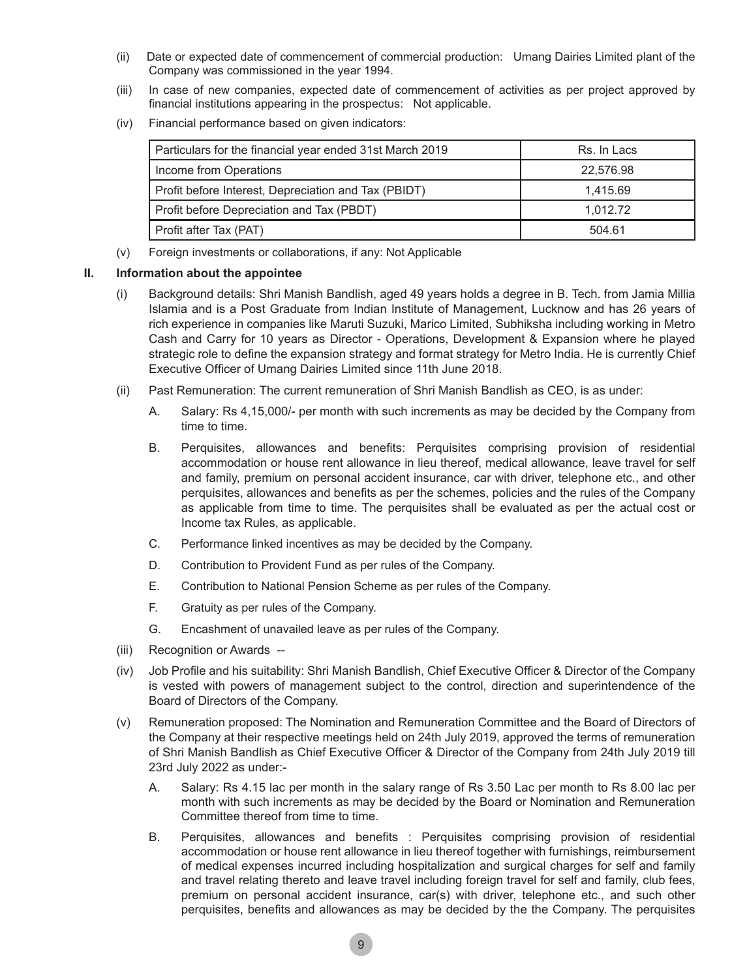- (ii) Date or expected date of commencement of commercial production: Umang Dairies Limited plant of the Company was commissioned in the year 1994.
- (iii) In case of new companies, expected date of commencement of activities as per project approved by financial institutions appearing in the prospectus: Not applicable.
- (iv) Financial performance based on given indicators:

| Particulars for the financial year ended 31st March 2019 | Rs. In Lacs |
|----------------------------------------------------------|-------------|
| Income from Operations                                   | 22.576.98   |
| Profit before Interest, Depreciation and Tax (PBIDT)     | 1.415.69    |
| Profit before Depreciation and Tax (PBDT)                | 1.012.72    |
| Profit after Tax (PAT)                                   | 504.61      |

(v) Foreign investments or collaborations, if any: Not Applicable

#### **II. Information about the appointee**

- (i) Background details: Shri Manish Bandlish, aged 49 years holds a degree in B. Tech. from Jamia Millia Islamia and is a Post Graduate from Indian Institute of Management, Lucknow and has 26 years of rich experience in companies like Maruti Suzuki, Marico Limited, Subhiksha including working in Metro Cash and Carry for 10 years as Director - Operations, Development & Expansion where he played strategic role to define the expansion strategy and format strategy for Metro India. He is currently Chief Executive Officer of Umang Dairies Limited since 11th June 2018.
- (ii) Past Remuneration: The current remuneration of Shri Manish Bandlish as CEO, is as under:
	- A. Salary: Rs 4,15,000/- per month with such increments as may be decided by the Company from time to time.
	- B. Perquisites, allowances and benefits: Perquisites comprising provision of residential accommodation or house rent allowance in lieu thereof, medical allowance, leave travel for self and family, premium on personal accident insurance, car with driver, telephone etc., and other perquisites, allowances and benefits as per the schemes, policies and the rules of the Company as applicable from time to time. The perquisites shall be evaluated as per the actual cost or Income tax Rules, as applicable.
	- C. Performance linked incentives as may be decided by the Company.
	- D. Contribution to Provident Fund as per rules of the Company.
	- E. Contribution to National Pension Scheme as per rules of the Company.
	- F. Gratuity as per rules of the Company.
	- G. Encashment of unavailed leave as per rules of the Company.
- (iii) Recognition or Awards --
- (iv) Job Profile and his suitability: Shri Manish Bandlish, Chief Executive Officer & Director of the Company is vested with powers of management subject to the control, direction and superintendence of the Board of Directors of the Company.
- (v) Remuneration proposed: The Nomination and Remuneration Committee and the Board of Directors of the Company at their respective meetings held on 24th July 2019, approved the terms of remuneration of Shri Manish Bandlish as Chief Executive Officer & Director of the Company from 24th July 2019 till 23rd July 2022 as under:-
	- A. Salary: Rs 4.15 lac per month in the salary range of Rs 3.50 Lac per month to Rs 8.00 lac per month with such increments as may be decided by the Board or Nomination and Remuneration Committee thereof from time to time.
	- B. Perquisites, allowances and benefits : Perquisites comprising provision of residential accommodation or house rent allowance in lieu thereof together with furnishings, reimbursement of medical expenses incurred including hospitalization and surgical charges for self and family and travel relating thereto and leave travel including foreign travel for self and family, club fees, premium on personal accident insurance, car(s) with driver, telephone etc., and such other perquisites, benefits and allowances as may be decided by the the Company. The perquisites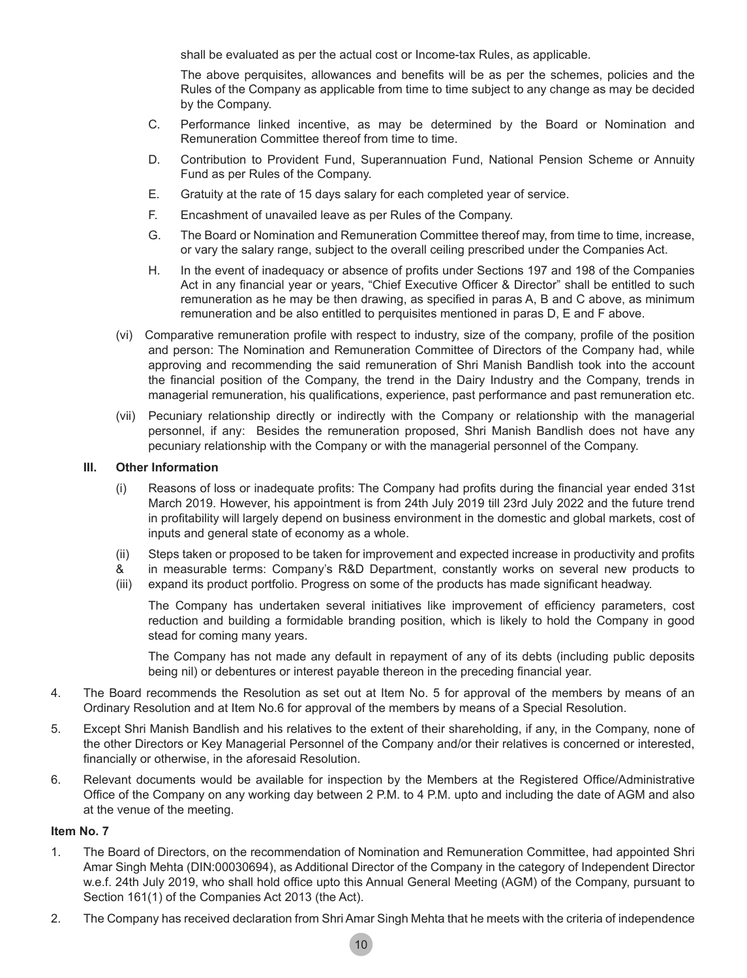shall be evaluated as per the actual cost or Income-tax Rules, as applicable.

 The above perquisites, allowances and benefits will be as per the schemes, policies and the Rules of the Company as applicable from time to time subject to any change as may be decided by the Company.

- C. Performance linked incentive, as may be determined by the Board or Nomination and Remuneration Committee thereof from time to time.
- D. Contribution to Provident Fund, Superannuation Fund, National Pension Scheme or Annuity Fund as per Rules of the Company.
- E. Gratuity at the rate of 15 days salary for each completed year of service.
- F. Encashment of unavailed leave as per Rules of the Company.
- G. The Board or Nomination and Remuneration Committee thereof may, from time to time, increase, or vary the salary range, subject to the overall ceiling prescribed under the Companies Act.
- H. In the event of inadequacy or absence of profits under Sections 197 and 198 of the Companies Act in any financial year or years, "Chief Executive Officer & Director" shall be entitled to such remuneration as he may be then drawing, as specified in paras A, B and C above, as minimum remuneration and be also entitled to perquisites mentioned in paras D, E and F above.
- (vi) Comparative remuneration profile with respect to industry, size of the company, profile of the position and person: The Nomination and Remuneration Committee of Directors of the Company had, while approving and recommending the said remuneration of Shri Manish Bandlish took into the account the financial position of the Company, the trend in the Dairy Industry and the Company, trends in managerial remuneration, his qualifications, experience, past performance and past remuneration etc.
- (vii) Pecuniary relationship directly or indirectly with the Company or relationship with the managerial personnel, if any: Besides the remuneration proposed, Shri Manish Bandlish does not have any pecuniary relationship with the Company or with the managerial personnel of the Company.

#### **III. Other Information**

- (i) Reasons of loss or inadequate profits: The Company had profits during the financial year ended 31st March 2019. However, his appointment is from 24th July 2019 till 23rd July 2022 and the future trend in profitability will largely depend on business environment in the domestic and global markets, cost of inputs and general state of economy as a whole.
- (ii) Steps taken or proposed to be taken for improvement and expected increase in productivity and profits
- & in measurable terms: Company's R&D Department, constantly works on several new products to
- (iii) expand its product portfolio. Progress on some of the products has made significant headway.

 The Company has undertaken several initiatives like improvement of efficiency parameters, cost reduction and building a formidable branding position, which is likely to hold the Company in good stead for coming many years.

The Company has not made any default in repayment of any of its debts (including public deposits being nil) or debentures or interest payable thereon in the preceding financial year.

- 4. The Board recommends the Resolution as set out at Item No. 5 for approval of the members by means of an Ordinary Resolution and at Item No.6 for approval of the members by means of a Special Resolution.
- 5. Except Shri Manish Bandlish and his relatives to the extent of their shareholding, if any, in the Company, none of the other Directors or Key Managerial Personnel of the Company and/or their relatives is concerned or interested, financially or otherwise, in the aforesaid Resolution.
- 6. Relevant documents would be available for inspection by the Members at the Registered Office/Administrative Office of the Company on any working day between 2 P.M. to 4 P.M. upto and including the date of AGM and also at the venue of the meeting.

#### **Item No. 7**

- 1. The Board of Directors, on the recommendation of Nomination and Remuneration Committee, had appointed Shri Amar Singh Mehta (DIN:00030694), as Additional Director of the Company in the category of Independent Director w.e.f. 24th July 2019, who shall hold office upto this Annual General Meeting (AGM) of the Company, pursuant to Section 161(1) of the Companies Act 2013 (the Act).
- 2. The Company has received declaration from Shri Amar Singh Mehta that he meets with the criteria of independence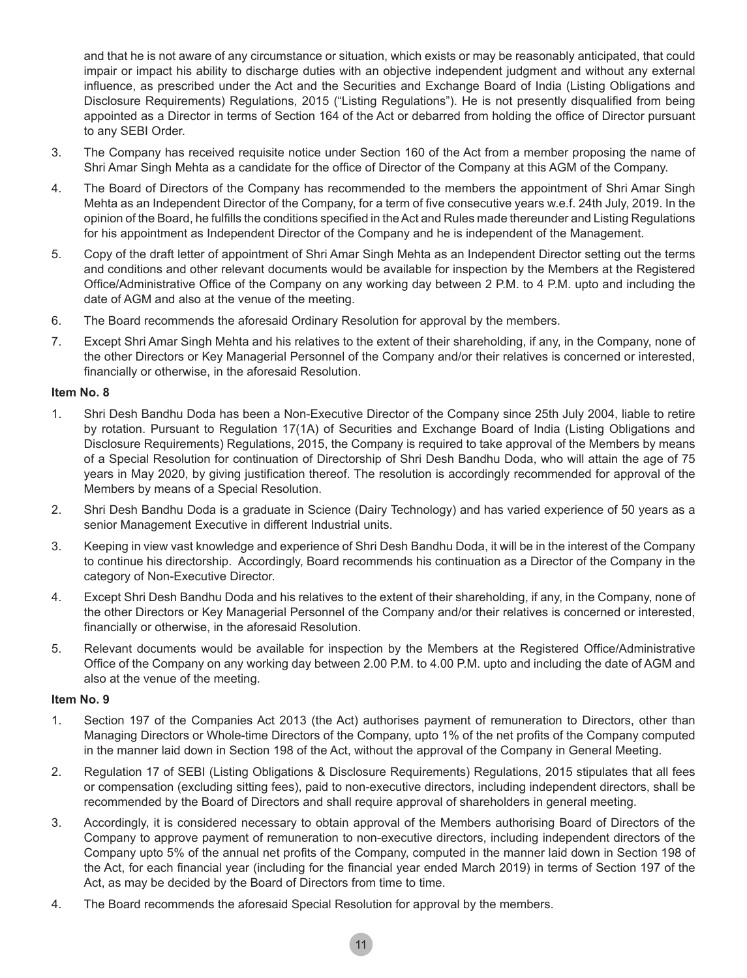and that he is not aware of any circumstance or situation, which exists or may be reasonably anticipated, that could impair or impact his ability to discharge duties with an objective independent judgment and without any external influence, as prescribed under the Act and the Securities and Exchange Board of India (Listing Obligations and Disclosure Requirements) Regulations, 2015 ("Listing Regulations"). He is not presently disqualified from being appointed as a Director in terms of Section 164 of the Act or debarred from holding the office of Director pursuant to any SEBI Order.

- 3. The Company has received requisite notice under Section 160 of the Act from a member proposing the name of Shri Amar Singh Mehta as a candidate for the office of Director of the Company at this AGM of the Company.
- 4. The Board of Directors of the Company has recommended to the members the appointment of Shri Amar Singh Mehta as an Independent Director of the Company, for a term of five consecutive years w.e.f. 24th July, 2019. In the opinion of the Board, he fulfills the conditions specified in theAct and Rules made thereunder and Listing Regulations for his appointment as Independent Director of the Company and he is independent of the Management.
- 5. Copy of the draft letter of appointment of Shri Amar Singh Mehta as an Independent Director setting out the terms and conditions and other relevant documents would be available for inspection by the Members at the Registered Office/Administrative Office of the Company on any working day between 2 P.M. to 4 P.M. upto and including the date of AGM and also at the venue of the meeting.
- 6. The Board recommends the aforesaid Ordinary Resolution for approval by the members.
- 7. Except Shri Amar Singh Mehta and his relatives to the extent of their shareholding, if any, in the Company, none of the other Directors or Key Managerial Personnel of the Company and/or their relatives is concerned or interested, financially or otherwise, in the aforesaid Resolution.

#### **Item No. 8**

- 1. Shri Desh Bandhu Doda has been a Non-Executive Director of the Company since 25th July 2004, liable to retire by rotation. Pursuant to Regulation 17(1A) of Securities and Exchange Board of India (Listing Obligations and Disclosure Requirements) Regulations, 2015, the Company is required to take approval of the Members by means of a Special Resolution for continuation of Directorship of Shri Desh Bandhu Doda, who will attain the age of 75 years in May 2020, by giving justification thereof. The resolution is accordingly recommended for approval of the Members by means of a Special Resolution.
- 2. Shri Desh Bandhu Doda is a graduate in Science (Dairy Technology) and has varied experience of 50 years as a senior Management Executive in different Industrial units.
- 3. Keeping in view vast knowledge and experience of Shri Desh Bandhu Doda, it will be in the interest of the Company to continue his directorship. Accordingly, Board recommends his continuation as a Director of the Company in the category of Non-Executive Director.
- 4. Except Shri Desh Bandhu Doda and his relatives to the extent of their shareholding, if any, in the Company, none of the other Directors or Key Managerial Personnel of the Company and/or their relatives is concerned or interested, financially or otherwise, in the aforesaid Resolution.
- 5. Relevant documents would be available for inspection by the Members at the Registered Office/Administrative Office of the Company on any working day between 2.00 P.M. to 4.00 P.M. upto and including the date of AGM and also at the venue of the meeting.

#### **Item No. 9**

- 1. Section 197 of the Companies Act 2013 (the Act) authorises payment of remuneration to Directors, other than Managing Directors or Whole-time Directors of the Company, upto 1% of the net profits of the Company computed in the manner laid down in Section 198 of the Act, without the approval of the Company in General Meeting.
- 2. Regulation 17 of SEBI (Listing Obligations & Disclosure Requirements) Regulations, 2015 stipulates that all fees or compensation (excluding sitting fees), paid to non-executive directors, including independent directors, shall be recommended by the Board of Directors and shall require approval of shareholders in general meeting.
- 3. Accordingly, it is considered necessary to obtain approval of the Members authorising Board of Directors of the Company to approve payment of remuneration to non-executive directors, including independent directors of the Company upto 5% of the annual net profits of the Company, computed in the manner laid down in Section 198 of the Act, for each financial year (including for the financial year ended March 2019) in terms of Section 197 of the Act, as may be decided by the Board of Directors from time to time.
- 4. The Board recommends the aforesaid Special Resolution for approval by the members.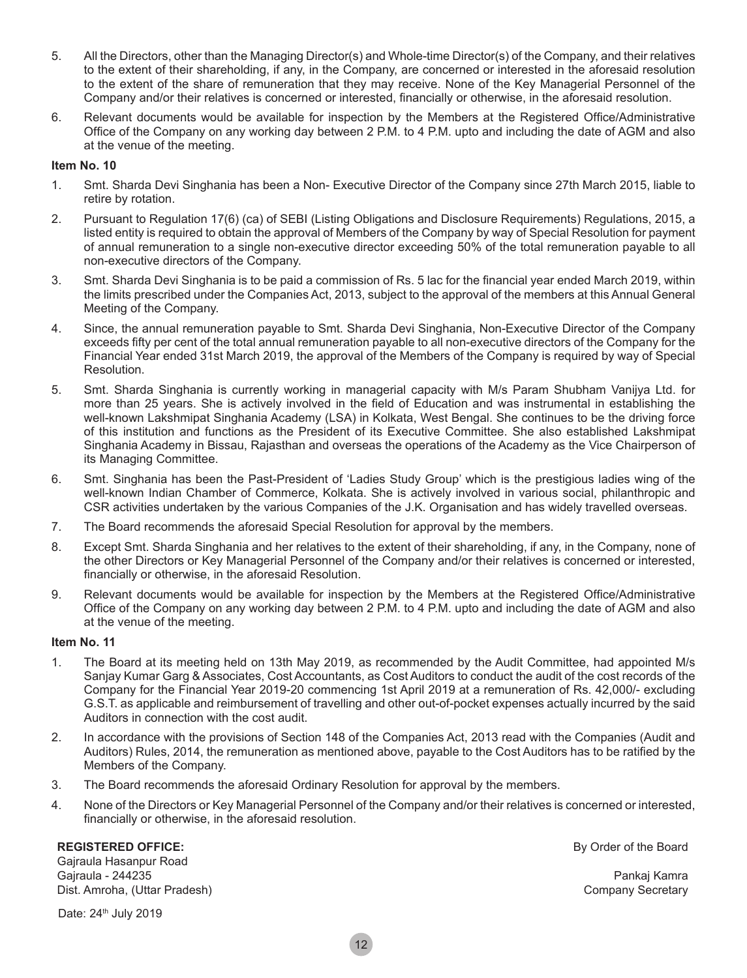- 5. All the Directors, other than the Managing Director(s) and Whole-time Director(s) of the Company, and their relatives to the extent of their shareholding, if any, in the Company, are concerned or interested in the aforesaid resolution to the extent of the share of remuneration that they may receive. None of the Key Managerial Personnel of the Company and/or their relatives is concerned or interested, financially or otherwise, in the aforesaid resolution.
- 6. Relevant documents would be available for inspection by the Members at the Registered Office/Administrative Office of the Company on any working day between 2 P.M. to 4 P.M. upto and including the date of AGM and also at the venue of the meeting.

#### **Item No. 10**

- 1. Smt. Sharda Devi Singhania has been a Non- Executive Director of the Company since 27th March 2015, liable to retire by rotation.
- 2. Pursuant to Regulation 17(6) (ca) of SEBI (Listing Obligations and Disclosure Requirements) Regulations, 2015, a listed entity is required to obtain the approval of Members of the Company by way of Special Resolution for payment of annual remuneration to a single non-executive director exceeding 50% of the total remuneration payable to all non-executive directors of the Company.
- 3. Smt. Sharda Devi Singhania is to be paid a commission of Rs. 5 lac for the financial year ended March 2019, within the limits prescribed under the Companies Act, 2013, subject to the approval of the members at this Annual General Meeting of the Company.
- 4. Since, the annual remuneration payable to Smt. Sharda Devi Singhania, Non-Executive Director of the Company exceeds fifty per cent of the total annual remuneration payable to all non-executive directors of the Company for the Financial Year ended 31st March 2019, the approval of the Members of the Company is required by way of Special Resolution.
- 5. Smt. Sharda Singhania is currently working in managerial capacity with M/s Param Shubham Vanijya Ltd. for more than 25 years. She is actively involved in the field of Education and was instrumental in establishing the well-known Lakshmipat Singhania Academy (LSA) in Kolkata, West Bengal. She continues to be the driving force of this institution and functions as the President of its Executive Committee. She also established Lakshmipat Singhania Academy in Bissau, Rajasthan and overseas the operations of the Academy as the Vice Chairperson of its Managing Committee.
- 6. Smt. Singhania has been the Past-President of 'Ladies Study Group' which is the prestigious ladies wing of the well-known Indian Chamber of Commerce, Kolkata. She is actively involved in various social, philanthropic and CSR activities undertaken by the various Companies of the J.K. Organisation and has widely travelled overseas.
- 7. The Board recommends the aforesaid Special Resolution for approval by the members.
- 8. Except Smt. Sharda Singhania and her relatives to the extent of their shareholding, if any, in the Company, none of the other Directors or Key Managerial Personnel of the Company and/or their relatives is concerned or interested, financially or otherwise, in the aforesaid Resolution.
- 9. Relevant documents would be available for inspection by the Members at the Registered Office/Administrative Office of the Company on any working day between 2 P.M. to 4 P.M. upto and including the date of AGM and also at the venue of the meeting.

#### **Item No. 11**

- 1. The Board at its meeting held on 13th May 2019, as recommended by the Audit Committee, had appointed M/s Sanjay Kumar Garg & Associates, Cost Accountants, as Cost Auditors to conduct the audit of the cost records of the Company for the Financial Year 2019-20 commencing 1st April 2019 at a remuneration of Rs. 42,000/- excluding G.S.T. as applicable and reimbursement of travelling and other out-of-pocket expenses actually incurred by the said Auditors in connection with the cost audit.
- 2. In accordance with the provisions of Section 148 of the Companies Act, 2013 read with the Companies (Audit and Auditors) Rules, 2014, the remuneration as mentioned above, payable to the Cost Auditors has to be ratified by the Members of the Company.
- 3. The Board recommends the aforesaid Ordinary Resolution for approval by the members.
- 4. None of the Directors or Key Managerial Personnel of the Company and/or their relatives is concerned or interested, financially or otherwise, in the aforesaid resolution.

#### **REGISTERED OFFICE:**

Gajraula Hasanpur Road Gajraula - 244235 Dist. Amroha, (Uttar Pradesh)

Date: 24<sup>th</sup> July 2019

By Order of the Board

Pankaj Kamra Company Secretary

12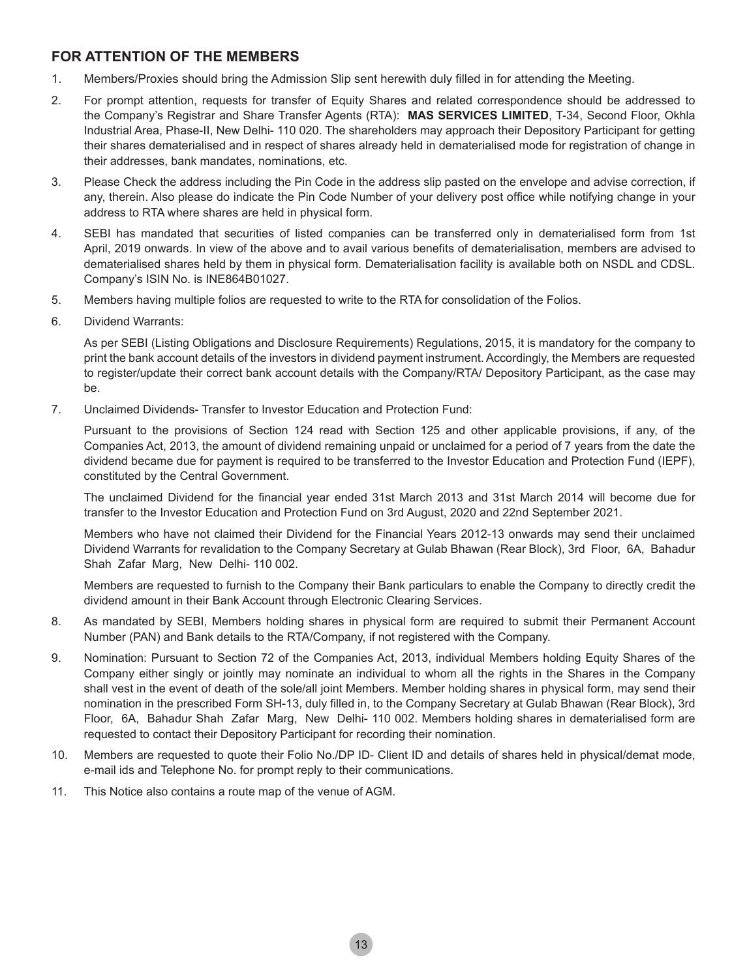# **FOR ATTENTION OF THE MEMBERS**

- 1. Members/Proxies should bring the Admission Slip sent herewith duly filled in for attending the Meeting.
- 2. For prompt attention, requests for transfer of Equity Shares and related correspondence should be addressed to the Company's Registrar and Share Transfer Agents (RTA): **MAS SERVICES LIMITED**, T-34, Second Floor, Okhla Industrial Area, Phase-II, New Delhi- 110 020. The shareholders may approach their Depository Participant for getting their shares dematerialised and in respect of shares already held in dematerialised mode for registration of change in their addresses, bank mandates, nominations, etc.
- 3. Please Check the address including the Pin Code in the address slip pasted on the envelope and advise correction, if any, therein. Also please do indicate the Pin Code Number of your delivery post office while notifying change in your address to RTA where shares are held in physical form.
- 4. SEBI has mandated that securities of listed companies can be transferred only in dematerialised form from 1st April, 2019 onwards. In view of the above and to avail various benefits of dematerialisation, members are advised to dematerialised shares held by them in physical form. Dematerialisation facility is available both on NSDL and CDSL. Company's ISIN No. is INE864B01027.
- 5. Members having multiple folios are requested to write to the RTA for consolidation of the Folios.
- 6. Dividend Warrants:

As per SEBI (Listing Obligations and Disclosure Requirements) Regulations, 2015, it is mandatory for the company to print the bank account details of the investors in dividend payment instrument. Accordingly, the Members are requested to register/update their correct bank account details with the Company/RTA/ Depository Participant, as the case may be.

7. Unclaimed Dividends- Transfer to Investor Education and Protection Fund:

Pursuant to the provisions of Section 124 read with Section 125 and other applicable provisions, if any, of the Companies Act, 2013, the amount of dividend remaining unpaid or unclaimed for a period of 7 years from the date the dividend became due for payment is required to be transferred to the Investor Education and Protection Fund (IEPF), constituted by the Central Government.

 The unclaimed Dividend for the financial year ended 31st March 2013 and 31st March 2014 will become due for transfer to the Investor Education and Protection Fund on 3rd August, 2020 and 22nd September 2021.

 Members who have not claimed their Dividend for the Financial Years 2012-13 onwards may send their unclaimed Dividend Warrants for revalidation to the Company Secretary at Gulab Bhawan (Rear Block), 3rd Floor, 6A, Bahadur Shah Zafar Marg, New Delhi- 110 002.

 Members are requested to furnish to the Company their Bank particulars to enable the Company to directly credit the dividend amount in their Bank Account through Electronic Clearing Services.

- 8. As mandated by SEBI, Members holding shares in physical form are required to submit their Permanent Account Number (PAN) and Bank details to the RTA/Company, if not registered with the Company.
- 9. Nomination: Pursuant to Section 72 of the Companies Act, 2013, individual Members holding Equity Shares of the Company either singly or jointly may nominate an individual to whom all the rights in the Shares in the Company shall vest in the event of death of the sole/all joint Members. Member holding shares in physical form, may send their nomination in the prescribed Form SH-13, duly filled in, to the Company Secretary at Gulab Bhawan (Rear Block), 3rd Floor, 6A, Bahadur Shah Zafar Marg, New Delhi- 110 002. Members holding shares in dematerialised form are requested to contact their Depository Participant for recording their nomination.
- 10. Members are requested to quote their Folio No./DP ID- Client ID and details of shares held in physical/demat mode, e-mail ids and Telephone No. for prompt reply to their communications.
- 11. This Notice also contains a route map of the venue of AGM.

13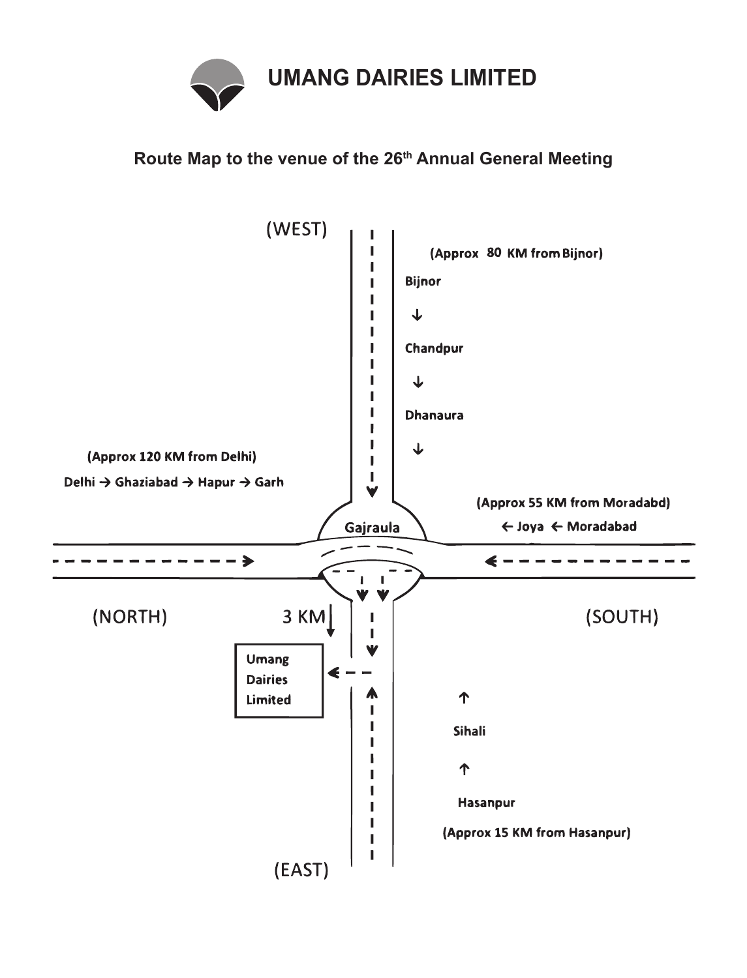

# **Route Map to the venue of the 26th Annual General Meeting**

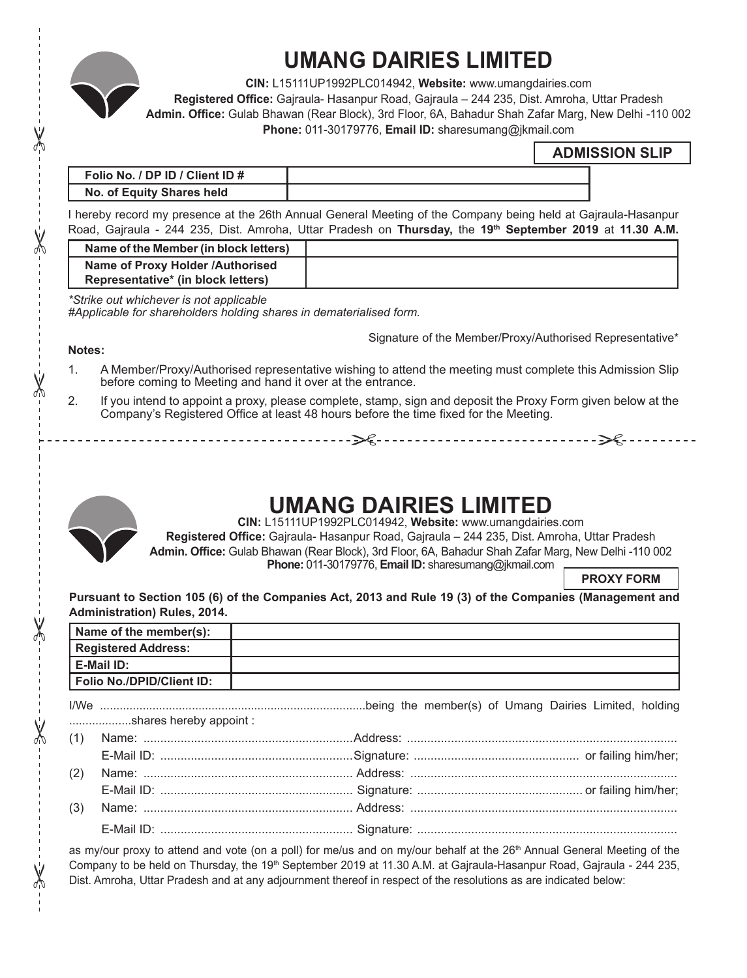

# **UMANG DAIRIES LIMITED**

**CIN:** L15111UP1992PLC014942, **Website:** www.umangdairies.com

**Registered Office:** Gajraula- Hasanpur Road, Gajraula – 244 235, Dist. Amroha, Uttar Pradesh

**Admin. Office:** Gulab Bhawan (Rear Block), 3rd Floor, 6A, Bahadur Shah Zafar Marg, New Delhi -110 002 **Phone:** 011-30179776, **Email ID:** sharesumang@jkmail.com "

# **ADMISSION SLIP**

| Folio No. / DP ID / Client ID # |  |
|---------------------------------|--|
| No. of Equity Shares held       |  |

I hereby record my presence at the 26th Annual General Meeting of the Company being held at Gajraula-Hasanpur Road, Gajraula - 244 235, Dist. Amroha, Uttar Pradesh on **Thursday,** the **19th September 2019** at **11.30 A.M.**

| Name of the Member (in block letters)                                  |  |
|------------------------------------------------------------------------|--|
| Name of Proxy Holder /Authorised<br>Representative* (in block letters) |  |
|                                                                        |  |

*\*Strike out whichever is not applicable*

*#Applicable for shareholders holding shares in dematerialised form.*

Signature of the Member/Proxy/Authorised Representative\*

" "

#### **Notes:**

ለ

ላ∱

 $\chi$ 

 $\chi$ 

X

- 1. A Member/Proxy/Authorised representative wishing to attend the meeting must complete this Admission Slip before coming to Meeting and hand it over at the entrance.
- 2. If you intend to appoint a proxy, please complete, stamp, sign and deposit the Proxy Form given below at the Company's Registered Office at least 48 hours before the time fixed for the Meeting.



# **UMANG DAIRIES LIMITED**

**CIN:** L15111UP1992PLC014942, **Website:** www.umangdairies.com

**Registered Office:** Gajraula- Hasanpur Road, Gajraula – 244 235, Dist. Amroha, Uttar Pradesh **Admin. Office:** Gulab Bhawan (Rear Block), 3rd Floor, 6A, Bahadur Shah Zafar Marg, New Delhi -110 002 **Phone:** 011-30179776, **Email ID:** sharesumang@jkmail.com

**PROXY FORM**

## **Pursuant to Section 105 (6) of the Companies Act, 2013 and Rule 19 (3) of the Companies (Management and Administration) Rules, 2014.**

|                            | Name of the member(s):    |  |
|----------------------------|---------------------------|--|
| <b>Registered Address:</b> |                           |  |
|                            | E-Mail ID:                |  |
|                            | Folio No./DPID/Client ID: |  |
|                            | shares hereby appoint:    |  |
| (1)                        |                           |  |
|                            |                           |  |
| (2)                        |                           |  |
|                            |                           |  |
| (3)                        |                           |  |
|                            |                           |  |

as my/our proxy to attend and vote (on a poll) for me/us and on my/our behalf at the 26<sup>th</sup> Annual General Meeting of the Company to be held on Thursday, the 19<sup>th</sup> September 2019 at 11.30 A.M. at Gajraula-Hasanpur Road, Gajraula - 244 235, Dist. Amroha, Uttar Pradesh and at any adjournment thereof in respect of the resolutions as are indicated below: